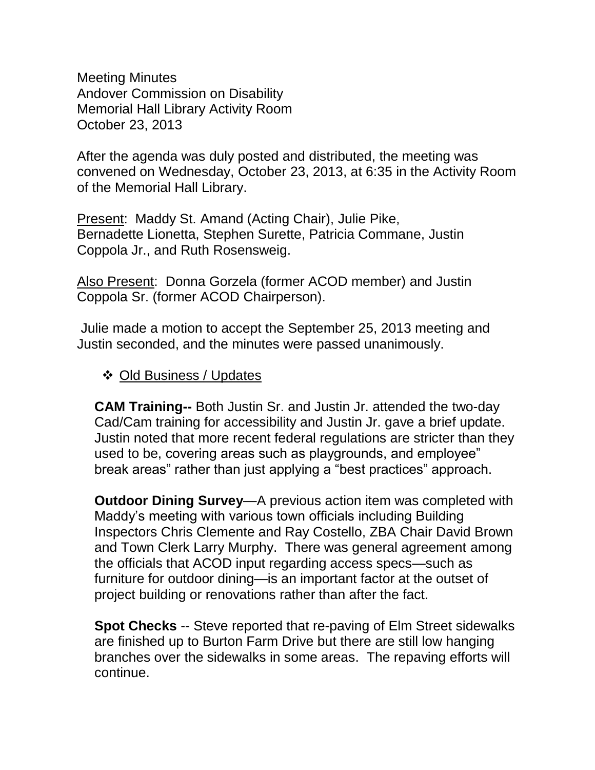Meeting Minutes Andover Commission on Disability Memorial Hall Library Activity Room October 23, 2013

After the agenda was duly posted and distributed, the meeting was convened on Wednesday, October 23, 2013, at 6:35 in the Activity Room of the Memorial Hall Library.

Present: Maddy St. Amand (Acting Chair), Julie Pike, Bernadette Lionetta, Stephen Surette, Patricia Commane, Justin Coppola Jr., and Ruth Rosensweig.

Also Present: Donna Gorzela (former ACOD member) and Justin Coppola Sr. (former ACOD Chairperson).

Julie made a motion to accept the September 25, 2013 meeting and Justin seconded, and the minutes were passed unanimously.

## ❖ Old Business / Updates

**CAM Training--** Both Justin Sr. and Justin Jr. attended the two-day Cad/Cam training for accessibility and Justin Jr. gave a brief update. Justin noted that more recent federal regulations are stricter than they used to be, covering areas such as playgrounds, and employee" break areas" rather than just applying a "best practices" approach.

**Outdoor Dining Survey**—A previous action item was completed with Maddy's meeting with various town officials including Building Inspectors Chris Clemente and Ray Costello, ZBA Chair David Brown and Town Clerk Larry Murphy. There was general agreement among the officials that ACOD input regarding access specs—such as furniture for outdoor dining—is an important factor at the outset of project building or renovations rather than after the fact.

**Spot Checks** -- Steve reported that re-paving of Elm Street sidewalks are finished up to Burton Farm Drive but there are still low hanging branches over the sidewalks in some areas. The repaving efforts will continue.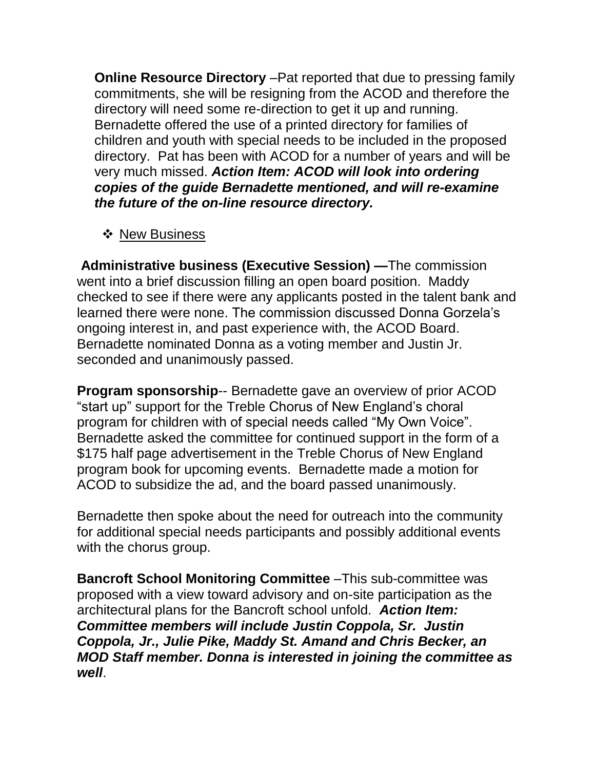**Online Resource Directory** –Pat reported that due to pressing family commitments, she will be resigning from the ACOD and therefore the directory will need some re-direction to get it up and running. Bernadette offered the use of a printed directory for families of children and youth with special needs to be included in the proposed directory. Pat has been with ACOD for a number of years and will be very much missed. *Action Item: ACOD will look into ordering copies of the guide Bernadette mentioned, and will re-examine the future of the on-line resource directory.*

## ❖ New Business

**Administrative business (Executive Session) —**The commission went into a brief discussion filling an open board position. Maddy checked to see if there were any applicants posted in the talent bank and learned there were none. The commission discussed Donna Gorzela's ongoing interest in, and past experience with, the ACOD Board. Bernadette nominated Donna as a voting member and Justin Jr. seconded and unanimously passed.

**Program sponsorship**-- Bernadette gave an overview of prior ACOD "start up" support for the Treble Chorus of New England's choral program for children with of special needs called "My Own Voice". Bernadette asked the committee for continued support in the form of a \$175 half page advertisement in the Treble Chorus of New England program book for upcoming events. Bernadette made a motion for ACOD to subsidize the ad, and the board passed unanimously.

Bernadette then spoke about the need for outreach into the community for additional special needs participants and possibly additional events with the chorus group.

**Bancroft School Monitoring Committee** –This sub-committee was proposed with a view toward advisory and on-site participation as the architectural plans for the Bancroft school unfold. *Action Item: Committee members will include Justin Coppola, Sr. Justin Coppola, Jr., Julie Pike, Maddy St. Amand and Chris Becker, an MOD Staff member. Donna is interested in joining the committee as well*.